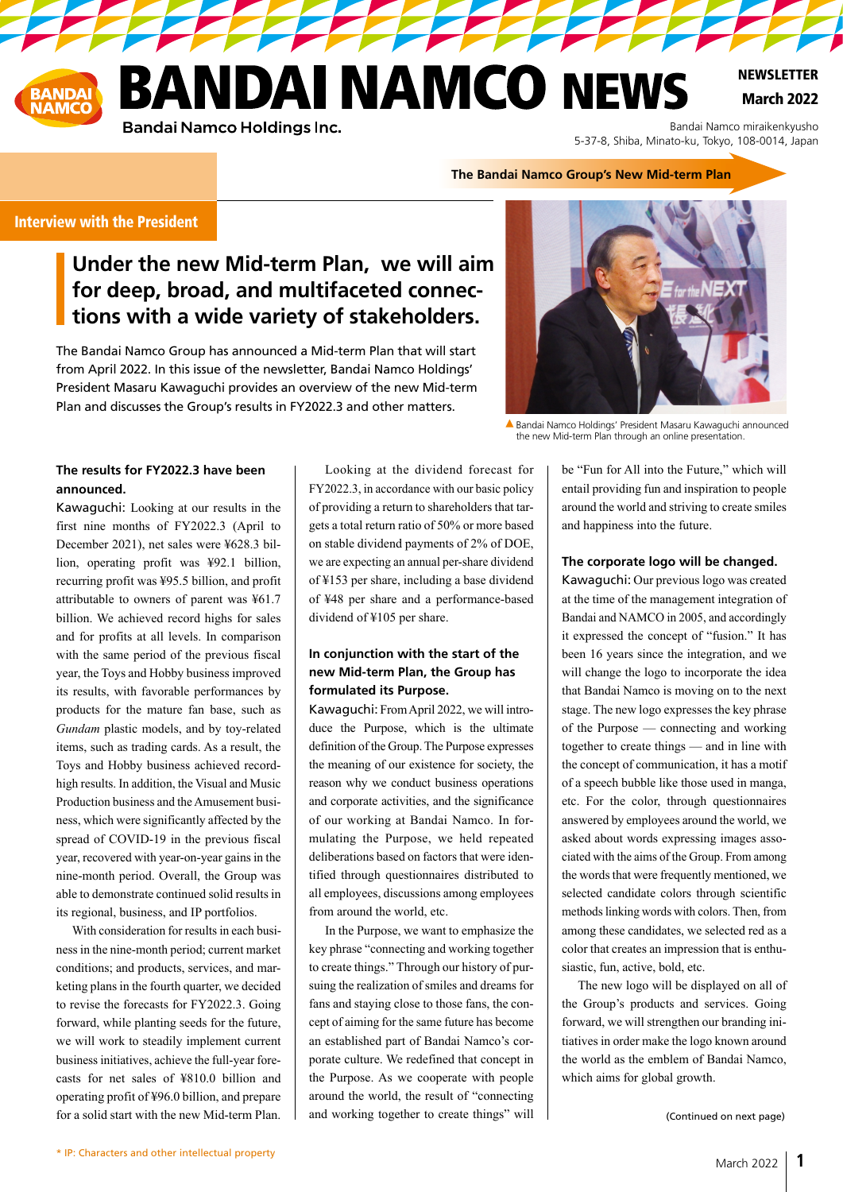

March 2022 **NEWSLETTER** 

**Bandai Namco Holdings Inc.** 

Bandai Namco miraikenkyusho 5-37-8, Shiba, Minato-ku, Tokyo, 108-0014, Japan

### Interview with the President

### **Under the new Mid-term Plan, we will aim for deep, broad, and multifaceted connections with a wide variety of stakeholders.**

The Bandai Namco Group has announced a Mid-term Plan that will start from April 2022. In this issue of the newsletter, Bandai Namco Holdings' President Masaru Kawaguchi provides an overview of the new Mid-term Plan and discusses the Group's results in FY2022.3 and other matters.

**The Bandai Namco Group's New Mid-term Plan**

▲ Bandai Namco Holdings' President Masaru Kawaguchi announced the new Mid-term Plan through an online presentation.

### **The results for FY2022.3 have been announced.**

Kawaguchi: Looking at our results in the first nine months of FY2022.3 (April to December 2021), net sales were ¥628.3 billion, operating profit was ¥92.1 billion, recurring profit was ¥95.5 billion, and profit attributable to owners of parent was ¥61.7 billion. We achieved record highs for sales and for profits at all levels. In comparison with the same period of the previous fiscal year, the Toys and Hobby business improved its results, with favorable performances by products for the mature fan base, such as *Gundam* plastic models, and by toy-related items, such as trading cards. As a result, the Toys and Hobby business achieved recordhigh results. In addition, the Visual and Music Production business and the Amusement business, which were significantly affected by the spread of COVID-19 in the previous fiscal year, recovered with year-on-year gains in the nine-month period. Overall, the Group was able to demonstrate continued solid results in its regional, business, and IP portfolios.

With consideration for results in each business in the nine-month period; current market conditions; and products, services, and marketing plans in the fourth quarter, we decided to revise the forecasts for FY2022.3. Going forward, while planting seeds for the future, we will work to steadily implement current business initiatives, achieve the full-year forecasts for net sales of ¥810.0 billion and operating profit of ¥96.0 billion, and prepare for a solid start with the new Mid-term Plan.

Looking at the dividend forecast for FY2022.3, in accordance with our basic policy of providing a return to shareholders that targets a total return ratio of 50% or more based on stable dividend payments of 2% of DOE, we are expecting an annual per-share dividend of ¥153 per share, including a base dividend of ¥48 per share and a performance-based dividend of ¥105 per share.

### **In conjunction with the start of the new Mid-term Plan, the Group has formulated its Purpose.**

Kawaguchi: From April 2022, we will introduce the Purpose, which is the ultimate definition of the Group. The Purpose expresses the meaning of our existence for society, the reason why we conduct business operations and corporate activities, and the significance of our working at Bandai Namco. In formulating the Purpose, we held repeated deliberations based on factors that were identified through questionnaires distributed to all employees, discussions among employees from around the world, etc.

In the Purpose, we want to emphasize the key phrase "connecting and working together to create things." Through our history of pursuing the realization of smiles and dreams for fans and staying close to those fans, the concept of aiming for the same future has become an established part of Bandai Namco's corporate culture. We redefined that concept in the Purpose. As we cooperate with people around the world, the result of "connecting and working together to create things" will be "Fun for All into the Future," which will entail providing fun and inspiration to people around the world and striving to create smiles and happiness into the future.

### **The corporate logo will be changed.**

Kawaguchi: Our previous logo was created at the time of the management integration of Bandai and NAMCO in 2005, and accordingly it expressed the concept of "fusion." It has been 16 years since the integration, and we will change the logo to incorporate the idea that Bandai Namco is moving on to the next stage. The new logo expresses the key phrase of the Purpose — connecting and working together to create things — and in line with the concept of communication, it has a motif of a speech bubble like those used in manga, etc. For the color, through questionnaires answered by employees around the world, we asked about words expressing images associated with the aims of the Group. From among the words that were frequently mentioned, we selected candidate colors through scientific methods linking words with colors. Then, from among these candidates, we selected red as a color that creates an impression that is enthusiastic, fun, active, bold, etc.

The new logo will be displayed on all of the Group's products and services. Going forward, we will strengthen our branding initiatives in order make the logo known around the world as the emblem of Bandai Namco, which aims for global growth.

(Continued on next page)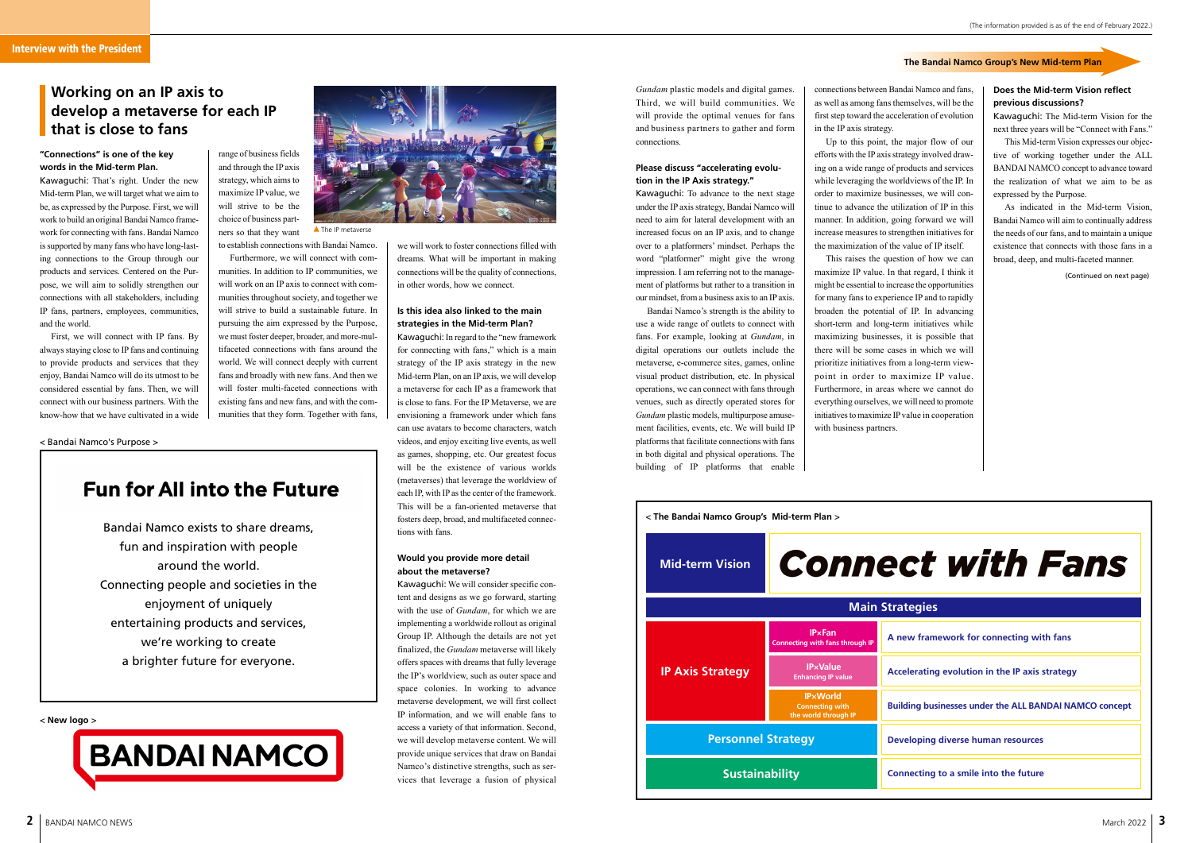### **Working on an IP axis to develop a metaverse for each IP that is close to fans**

### **"Connections" is one of the key words in the Mid-term Plan.**

Kawaguchi: That's right. Under the new Mid-term Plan, we will target what we aim to be, as expressed by the Purpose. First, we will work to build an original Bandai Namco framework for connecting with fans. Bandai Namco is supported by many fans who have long-lasting connections to the Group through our products and services. Centered on the Purpose, we will aim to solidly strengthen our connections with all stakeholders, including IP fans, partners, employees, communities, and the world.

First, we will connect with IP fans. By always staying close to IP fans and continuing to provide products and services that they enjoy, Bandai Namco will do its utmost to be considered essential by fans. Then, we will connect with our business partners. With the know-how that we have cultivated in a wide range of business fields and through the IP axis strategy, which aims to maximize IP value, we will strive to be the choice of business partners so that they want

 $\triangle$  The IP metaverse

to establish connections with Bandai Namco. Furthermore, we will connect with com-

munities. In addition to IP communities, we will work on an IP axis to connect with communities throughout society, and together we will strive to build a sustainable future. In pursuing the aim expressed by the Purpose, we must foster deeper, broader, and more-multifaceted connections with fans around the world. We will connect deeply with current fans and broadly with new fans. And then we will foster multi-faceted connections with existing fans and new fans, and with the communities that they form. Together with fans, we will work to foster connections filled with dreams. What will be important in making connections will be the quality of connections, in other words, how we connect.

### **Is this idea also linked to the main strategies in the Mid-term Plan?**

Kawaguchi: In regard to the "new framework for connecting with fans," which is a main strategy of the IP axis strategy in the new Mid-term Plan, on an IP axis, we will develop a metaverse for each IP as a framework that is close to fans. For the IP Metaverse, we are envisioning a framework under which fans can use avatars to become characters, watch videos, and enjoy exciting live events, as well as games, shopping, etc. Our greatest focus will be the existence of various worlds (metaverses) that leverage the worldview of each IP, with IP as the center of the framework. This will be a fan-oriented metaverse that fosters deep, broad, and multifaceted connections with fans.

### **Would you provide more detail about the metaverse?**

Kawaguchi: We will consider specific content and designs as we go forward, starting with the use of *Gundam*, for which we are implementing a worldwide rollout as original Group IP. Although the details are not yet finalized, the *Gundam* metaverse will likely offers spaces with dreams that fully leverage the IP's worldview, such as outer space and space colonies. In working to advance metaverse development, we will first collect IP information, and we will enable fans to access a variety of that information. Second, we will develop metaverse content. We will provide unique services that draw on Bandai Namco's distinctive strengths, such as services that leverage a fusion of physical *Gundam* plastic models and digital games. Third, we will build communities. We will provide the optimal venues for fans and business partners to gather and form connections.

### **Please discuss "accelerating evolution in the IP Axis strategy."**

Kawaguchi: To advance to the next stage under the IP axis strategy, Bandai Namco will need to aim for lateral development with an increased focus on an IP axis, and to change over to a platformers' mindset. Perhaps the word "platformer" might give the wrong impression. I am referring not to the management of platforms but rather to a transition in our mindset, from a business axis to an IP axis.

Bandai Namco's strength is the ability to use a wide range of outlets to connect with fans. For example, looking at *Gundam*, in digital operations our outlets include the metaverse, e-commerce sites, games, online visual product distribution, etc. In physical operations, we can connect with fans through venues, such as directly operated stores for *Gundam* plastic models, multipurpose amusement facilities, events, etc. We will build IP platforms that facilitate connections with fans in both digital and physical operations. The building of IP platforms that enable

connections between Bandai Namco and fans, as well as among fans themselves, will be the first step toward the acceleration of evolution in the IP axis strategy.

Up to this point, the major flow of our efforts with the IP axis strategy involved drawing on a wide range of products and services while leveraging the worldviews of the IP. In order to maximize businesses, we will continue to advance the utilization of IP in this manner. In addition, going forward we will increase measures to strengthen initiatives for the maximization of the value of IP itself.

This raises the question of how we can maximize IP value. In that regard, I think it might be essential to increase the opportunities for many fans to experience IP and to rapidly broaden the potential of IP. In advancing short-term and long-term initiatives while maximizing businesses, it is possible that there will be some cases in which we will prioritize initiatives from a long-term viewpoint in order to maximize IP value. Furthermore, in areas where we cannot do everything ourselves, we will need to promote initiatives to maximize IP value in cooperation with business partners.

### **Does the Mid-term Vision reflect previous discussions?**

Kawaguchi: The Mid-term Vision for the next three years will be "Connect with Fans."

This Mid-term Vision expresses our objective of working together under the ALL BANDAI NAMCO concept to advance toward the realization of what we aim to be as expressed by the Purpose.

As indicated in the Mid-term Vision, Bandai Namco will aim to continually address the needs of our fans, and to maintain a unique existence that connects with those fans in a broad, deep, and multi-faceted manner.

### **The Bandai Namco Group's New Mid-term Plan**

< **New logo** >



### < Bandai Namco's Purpose >

# **Fun for All into the Future**



Bandai Namco exists to share dreams, fun and inspiration with people around the world. Connecting people and societies in the enjoyment of uniquely entertaining products and services, we're working to create a brighter future for everyone.

(Continued on next page)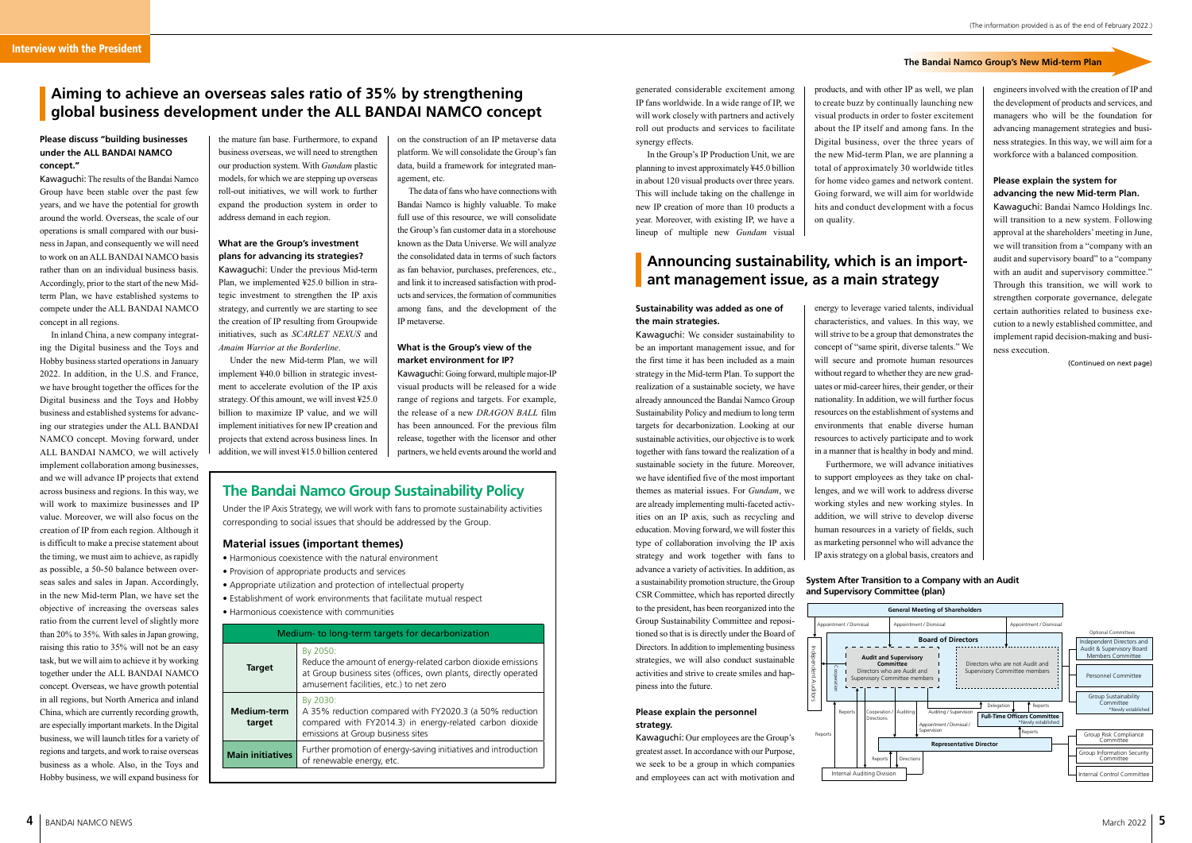### **Aiming to achieve an overseas sales ratio of 35% by strengthening global business development under the ALL BANDAI NAMCO concept**

### **Please discuss "building businesses under the ALL BANDAI NAMCO concept."**

Kawaguchi: The results of the Bandai Namco Group have been stable over the past few years, and we have the potential for growth around the world. Overseas, the scale of our operations is small compared with our business in Japan, and consequently we will need to work on an ALL BANDAI NAMCO basis rather than on an individual business basis. Accordingly, prior to the start of the new Midterm Plan, we have established systems to compete under the ALL BANDAI NAMCO concept in all regions.

In inland China, a new company integrating the Digital business and the Toys and Hobby business started operations in January 2022. In addition, in the U.S. and France, we have brought together the offices for the Digital business and the Toys and Hobby business and established systems for advancing our strategies under the ALL BANDAI NAMCO concept. Moving forward, under ALL BANDAI NAMCO, we will actively implement collaboration among businesses, and we will advance IP projects that extend across business and regions. In this way, we will work to maximize businesses and IP value. Moreover, we will also focus on the creation of IP from each region. Although it is difficult to make a precise statement about the timing, we must aim to achieve, as rapidly as possible, a 50-50 balance between overseas sales and sales in Japan. Accordingly, in the new Mid-term Plan, we have set the objective of increasing the overseas sales ratio from the current level of slightly more than 20% to 35%. With sales in Japan growing, raising this ratio to 35% will not be an easy task, but we will aim to achieve it by working together under the ALL BANDAI NAMCO concept. Overseas, we have growth potential in all regions, but North America and inland China, which are currently recording growth, are especially important markets. In the Digital business, we will launch titles for a variety of regions and targets, and work to raise overseas business as a whole. Also, in the Toys and Hobby business, we will expand business for

the mature fan base. Furthermore, to expand business overseas, we will need to strengthen our production system. With *Gundam* plastic models, for which we are stepping up overseas roll-out initiatives, we will work to further expand the production system in order to address demand in each region.

### **What are the Group's investment plans for advancing its strategies?**

Kawaguchi: Under the previous Mid-term Plan, we implemented ¥25.0 billion in strategic investment to strengthen the IP axis strategy, and currently we are starting to see the creation of IP resulting from Groupwide initiatives, such as *SCARLET NEXUS* and *Amaim Warrior at the Borderline*.

Under the new Mid-term Plan, we will implement ¥40.0 billion in strategic investment to accelerate evolution of the IP axis strategy. Of this amount, we will invest ¥25.0 billion to maximize IP value, and we will implement initiatives for new IP creation and projects that extend across business lines. In addition, we will invest ¥15.0 billion centered on the construction of an IP metaverse data platform. We will consolidate the Group's fan data, build a framework for integrated management, etc.

The data of fans who have connections with Bandai Namco is highly valuable. To make full use of this resource, we will consolidate the Group's fan customer data in a storehouse known as the Data Universe. We will analyze the consolidated data in terms of such factors as fan behavior, purchases, preferences, etc., and link it to increased satisfaction with products and services, the formation of communities among fans, and the development of the IP metaverse.

### **What is the Group's view of the market environment for IP?**

Kawaguchi: Going forward, multiple major-IP visual products will be released for a wide range of regions and targets. For example, the release of a new *DRAGON BALL* film has been announced. For the previous film release, together with the licensor and other partners, we held events around the world and

generated considerable excitement among IP fans worldwide. In a wide range of IP, we will work closely with partners and actively roll out products and services to facilitate synergy effects.

In the Group's IP Production Unit, we are planning to invest approximately ¥45.0 billion in about 120 visual products over three years. This will include taking on the challenge in new IP creation of more than 10 products a year. Moreover, with existing IP, we have a lineup of multiple new *Gundam* visual

products, and with other IP as well, we plan to create buzz by continually launching new visual products in order to foster excitement

about the IP itself and among fans. In the Digital business, over the three years of the new Mid-term Plan, we are planning a total of approximately 30 worldwide titles for home video games and network content. Going forward, we will aim for worldwide hits and conduct development with a focus on quality.

### **Sustainability was added as one of the main strategies.**

Kawaguchi: We consider sustainability to be an important management issue, and for the first time it has been included as a main strategy in the Mid-term Plan. To support the realization of a sustainable society, we have already announced the Bandai Namco Group Sustainability Policy and medium to long term targets for decarbonization. Looking at our sustainable activities, our objective is to work together with fans toward the realization of a sustainable society in the future. Moreover, we have identified five of the most important themes as material issues. For *Gundam*, we are already implementing multi-faceted activities on an IP axis, such as recycling and education. Moving forward, we will foster this type of collaboration involving the IP axis strategy and work together with fans to advance a variety of activities. In addition, as a sustainability promotion structure, the Group CSR Committee, which has reported directly to the president, has been reorganized into the Group Sustainability Committee and repositioned so that is is directly under the Board of Directors. In addition to implementing business strategies, we will also conduct sustainable activities and strive to create smiles and happiness into the future.

### **Please explain the personnel strategy.**

Kawaguchi: Our employees are the Group's greatest asset. In accordance with our Purpose, we seek to be a group in which companies and employees can act with motivation and

### **The Bandai Namco Group Sustainability Policy**

Under the IP Axis Strategy, we will work with fans to promote sustainability activities corresponding to social issues that should be addressed by the Group.

### **Material issues (important themes)**

- Harmonious coexistence with the natural environment
- Provision of appropriate products and services
- Appropriate utilization and protection of intellectual property
- Establishment of work environments that facilitate mutual respect
- Harmonious coexistence with communities

| Medium-to long-term targets for decarbonization |                                                                                                                                                                                        |  |
|-------------------------------------------------|----------------------------------------------------------------------------------------------------------------------------------------------------------------------------------------|--|
| <b>Target</b>                                   | By 2050:<br>Reduce the amount of energy-related carbon dioxide emissions<br>at Group business sites (offices, own plants, directly operated<br>amusement facilities, etc.) to net zero |  |
| <b>Medium-term</b><br>target                    | By 2030:<br>A 35% reduction compared with FY2020.3 (a 50% reduction<br>compared with FY2014.3) in energy-related carbon dioxide<br>emissions at Group business sites                   |  |
| <b>Main initiatives</b>                         | Further promotion of energy-saving initiatives and introduction<br>of renewable energy, etc.                                                                                           |  |

## **Announcing sustainability, which is an important management issue, as a main strategy**

energy to leverage varied talents, individual characteristics, and values. In this way, we will strive to be a group that demonstrates the concept of "same spirit, diverse talents." We will secure and promote human resources without regard to whether they are new graduates or mid-career hires, their gender, or their nationality. In addition, we will further focus resources on the establishment of systems and environments that enable diverse human resources to actively participate and to work in a manner that is healthy in body and mind. Furthermore, we will advance initiatives to support employees as they take on challenges, and we will work to address diverse working styles and new working styles. In addition, we will strive to develop diverse human resources in a variety of fields, such as marketing personnel who will advance the IP axis strategy on a global basis, creators and engineers involved with the creation of IP and the development of products and services, and managers who will be the foundation for advancing management strategies and business strategies. In this way, we will aim for a workforce with a balanced composition.

### **Please explain the system for advancing the new Mid-term Plan.**

Kawaguchi: Bandai Namco Holdings Inc. will transition to a new system. Following approval at the shareholders' meeting in June, we will transition from a "company with an audit and supervisory board" to a "company with an audit and supervisory committee." Through this transition, we will work to strengthen corporate governance, delegate certain authorities related to business execution to a newly established committee, and implement rapid decision-making and business execution.

(Continued on next page)

### **The Bandai Namco Group's New Mid-term Plan**

### **System After Transition to a Company with an Audit and Supervisory Committee (plan)**